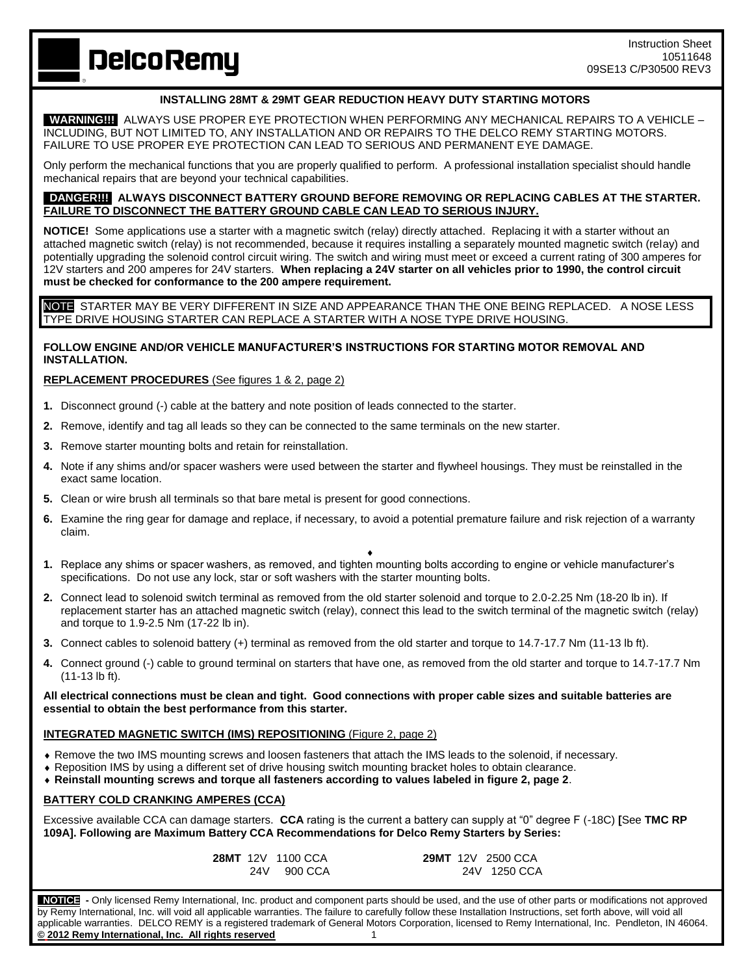**DelcoRemy** 

# **INSTALLING 28MT & 29MT GEAR REDUCTION HEAVY DUTY STARTING MOTORS**

 **WARNING!!!** ALWAYS USE PROPER EYE PROTECTION WHEN PERFORMING ANY MECHANICAL REPAIRS TO A VEHICLE – INCLUDING, BUT NOT LIMITED TO, ANY INSTALLATION AND OR REPAIRS TO THE DELCO REMY STARTING MOTORS. FAILURE TO USE PROPER EYE PROTECTION CAN LEAD TO SERIOUS AND PERMANENT EYE DAMAGE.

Only perform the mechanical functions that you are properly qualified to perform. A professional installation specialist should handle mechanical repairs that are beyond your technical capabilities.

#### **DANGER!!! ALWAYS DISCONNECT BATTERY GROUND BEFORE REMOVING OR REPLACING CABLES AT THE STARTER. FAILURE TO DISCONNECT THE BATTERY GROUND CABLE CAN LEAD TO SERIOUS INJURY.**

**NOTICE!** Some applications use a starter with a magnetic switch (relay) directly attached. Replacing it with a starter without an attached magnetic switch (relay) is not recommended, because it requires installing a separately mounted magnetic switch (relay) and potentially upgrading the solenoid control circuit wiring. The switch and wiring must meet or exceed a current rating of 300 amperes for 12V starters and 200 amperes for 24V starters. **When replacing a 24V starter on all vehicles prior to 1990, the control circuit must be checked for conformance to the 200 ampere requirement.**

NOTE STARTER MAY BE VERY DIFFERENT IN SIZE AND APPEARANCE THAN THE ONE BEING REPLACED. A NOSE LESS TYPE DRIVE HOUSING STARTER CAN REPLACE A STARTER WITH A NOSE TYPE DRIVE HOUSING.

## **FOLLOW ENGINE AND/OR VEHICLE MANUFACTURER'S INSTRUCTIONS FOR STARTING MOTOR REMOVAL AND INSTALLATION.**

### **REPLACEMENT PROCEDURES** (See figures 1 & 2, page 2)

- **1.** Disconnect ground (-) cable at the battery and note position of leads connected to the starter.
- **2.** Remove, identify and tag all leads so they can be connected to the same terminals on the new starter.
- **3.** Remove starter mounting bolts and retain for reinstallation.
- **4.** Note if any shims and/or spacer washers were used between the starter and flywheel housings. They must be reinstalled in the exact same location.
- **5.** Clean or wire brush all terminals so that bare metal is present for good connections.
- **6.** Examine the ring gear for damage and replace, if necessary, to avoid a potential premature failure and risk rejection of a warranty claim.

 $\blacklozenge$ 

- **1.** Replace any shims or spacer washers, as removed, and tighten mounting bolts according to engine or vehicle manufacturer's specifications. Do not use any lock, star or soft washers with the starter mounting bolts.
- **2.** Connect lead to solenoid switch terminal as removed from the old starter solenoid and torque to 2.0-2.25 Nm (18-20 lb in). If replacement starter has an attached magnetic switch (relay), connect this lead to the switch terminal of the magnetic switch (relay) and torque to 1.9-2.5 Nm (17-22 lb in).
- **3.** Connect cables to solenoid battery (+) terminal as removed from the old starter and torque to 14.7-17.7 Nm (11-13 lb ft).
- **4.** Connect ground (-) cable to ground terminal on starters that have one, as removed from the old starter and torque to 14.7-17.7 Nm (11-13 lb ft).

**All electrical connections must be clean and tight. Good connections with proper cable sizes and suitable batteries are essential to obtain the best performance from this starter.**

### **INTEGRATED MAGNETIC SWITCH (IMS) REPOSITIONING** (Figure 2, page 2)

- Remove the two IMS mounting screws and loosen fasteners that attach the IMS leads to the solenoid, if necessary.
- Reposition IMS by using a different set of drive housing switch mounting bracket holes to obtain clearance.
- **Reinstall mounting screws and torque all fasteners according to values labeled in figure 2, page 2**.

### **BATTERY COLD CRANKING AMPERES (CCA)**

Excessive available CCA can damage starters. **CCA** rating is the current a battery can supply at "0" degree F (-18C) **[**See **TMC RP 109A]. Following are Maximum Battery CCA Recommendations for Delco Remy Starters by Series:**

|  | <b>28MT</b> 12V 1100 CCA | <b>29MT</b> 12V 2500 CCA |              |
|--|--------------------------|--------------------------|--------------|
|  | 24V 900 CCA              |                          | 24V 1250 CCA |

 **NOTICE -** Only licensed Remy International, Inc. product and component parts should be used, and the use of other parts or modifications not approved by Remy International, Inc. will void all applicable warranties. The failure to carefully follow these Installation Instructions, set forth above, will void all applicable warranties. DELCO REMY is a registered trademark of General Motors Corporation, licensed to Remy International, Inc. Pendleton, IN 46064. **© 2012 Remy International, Inc. All rights reserved** 1